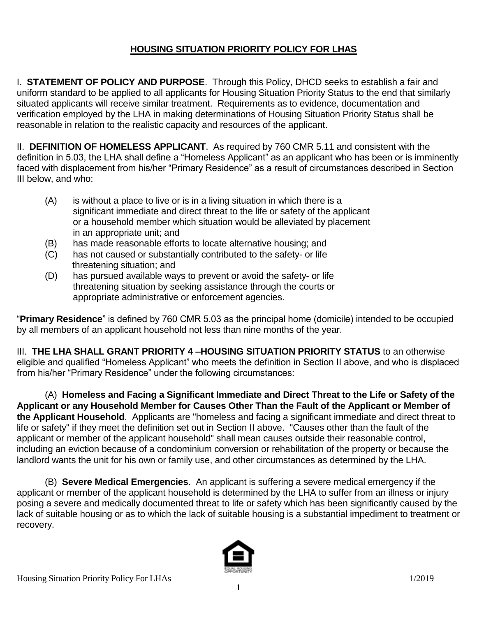## **HOUSING SITUATION PRIORITY POLICY FOR LHAS**

I. **STATEMENT OF POLICY AND PURPOSE**. Through this Policy, DHCD seeks to establish a fair and uniform standard to be applied to all applicants for Housing Situation Priority Status to the end that similarly situated applicants will receive similar treatment. Requirements as to evidence, documentation and verification employed by the LHA in making determinations of Housing Situation Priority Status shall be reasonable in relation to the realistic capacity and resources of the applicant.

II. **DEFINITION OF HOMELESS APPLICANT**. As required by 760 CMR 5.11 and consistent with the definition in 5.03, the LHA shall define a "Homeless Applicant" as an applicant who has been or is imminently faced with displacement from his/her "Primary Residence" as a result of circumstances described in Section III below, and who:

- (A) is without a place to live or is in a living situation in which there is a significant immediate and direct threat to the life or safety of the applicant or a household member which situation would be alleviated by placement in an appropriate unit; and
- (B) has made reasonable efforts to locate alternative housing; and
- (C) has not caused or substantially contributed to the safety- or life threatening situation; and
- (D) has pursued available ways to prevent or avoid the safety- or life threatening situation by seeking assistance through the courts or appropriate administrative or enforcement agencies.

"**Primary Residence**" is defined by 760 CMR 5.03 as the principal home (domicile) intended to be occupied by all members of an applicant household not less than nine months of the year.

III. **THE LHA SHALL GRANT PRIORITY 4 –HOUSING SITUATION PRIORITY STATUS** to an otherwise eligible and qualified "Homeless Applicant" who meets the definition in Section II above, and who is displaced from his/her "Primary Residence" under the following circumstances:

(A) **Homeless and Facing a Significant Immediate and Direct Threat to the Life or Safety of the Applicant or any Household Member for Causes Other Than the Fault of the Applicant or Member of the Applicant Household**. Applicants are "homeless and facing a significant immediate and direct threat to life or safety" if they meet the definition set out in Section II above. "Causes other than the fault of the applicant or member of the applicant household" shall mean causes outside their reasonable control, including an eviction because of a condominium conversion or rehabilitation of the property or because the landlord wants the unit for his own or family use, and other circumstances as determined by the LHA.

(B) **Severe Medical Emergencies**. An applicant is suffering a severe medical emergency if the applicant or member of the applicant household is determined by the LHA to suffer from an illness or injury posing a severe and medically documented threat to life or safety which has been significantly caused by the lack of suitable housing or as to which the lack of suitable housing is a substantial impediment to treatment or recovery.

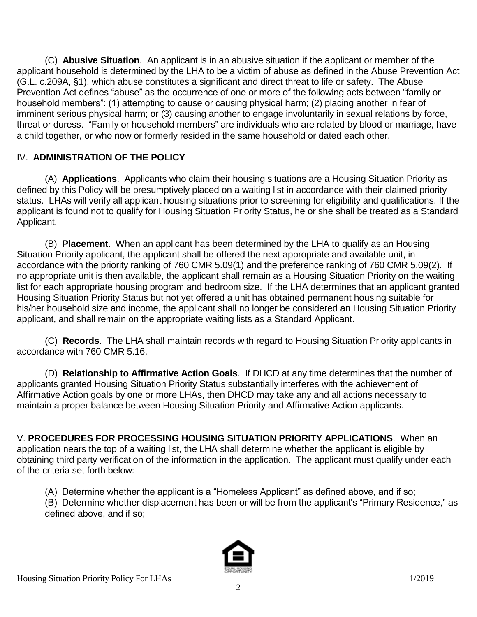(C) **Abusive Situation**. An applicant is in an abusive situation if the applicant or member of the applicant household is determined by the LHA to be a victim of abuse as defined in the Abuse Prevention Act (G.L. c.209A, §1), which abuse constitutes a significant and direct threat to life or safety. The Abuse Prevention Act defines "abuse" as the occurrence of one or more of the following acts between "family or household members": (1) attempting to cause or causing physical harm; (2) placing another in fear of imminent serious physical harm; or (3) causing another to engage involuntarily in sexual relations by force, threat or duress. "Family or household members" are individuals who are related by blood or marriage, have a child together, or who now or formerly resided in the same household or dated each other.

## IV. **ADMINISTRATION OF THE POLICY**

(A) **Applications**. Applicants who claim their housing situations are a Housing Situation Priority as defined by this Policy will be presumptively placed on a waiting list in accordance with their claimed priority status. LHAs will verify all applicant housing situations prior to screening for eligibility and qualifications. If the applicant is found not to qualify for Housing Situation Priority Status, he or she shall be treated as a Standard Applicant.

(B) **Placement**. When an applicant has been determined by the LHA to qualify as an Housing Situation Priority applicant, the applicant shall be offered the next appropriate and available unit, in accordance with the priority ranking of 760 CMR 5.09(1) and the preference ranking of 760 CMR 5.09(2). If no appropriate unit is then available, the applicant shall remain as a Housing Situation Priority on the waiting list for each appropriate housing program and bedroom size. If the LHA determines that an applicant granted Housing Situation Priority Status but not yet offered a unit has obtained permanent housing suitable for his/her household size and income, the applicant shall no longer be considered an Housing Situation Priority applicant, and shall remain on the appropriate waiting lists as a Standard Applicant.

(C) **Records**. The LHA shall maintain records with regard to Housing Situation Priority applicants in accordance with 760 CMR 5.16.

(D) **Relationship to Affirmative Action Goals**. If DHCD at any time determines that the number of applicants granted Housing Situation Priority Status substantially interferes with the achievement of Affirmative Action goals by one or more LHAs, then DHCD may take any and all actions necessary to maintain a proper balance between Housing Situation Priority and Affirmative Action applicants.

V. **PROCEDURES FOR PROCESSING HOUSING SITUATION PRIORITY APPLICATIONS**. When an application nears the top of a waiting list, the LHA shall determine whether the applicant is eligible by obtaining third party verification of the information in the application. The applicant must qualify under each of the criteria set forth below:

(A) Determine whether the applicant is a "Homeless Applicant" as defined above, and if so;

(B) Determine whether displacement has been or will be from the applicant's "Primary Residence," as defined above, and if so;